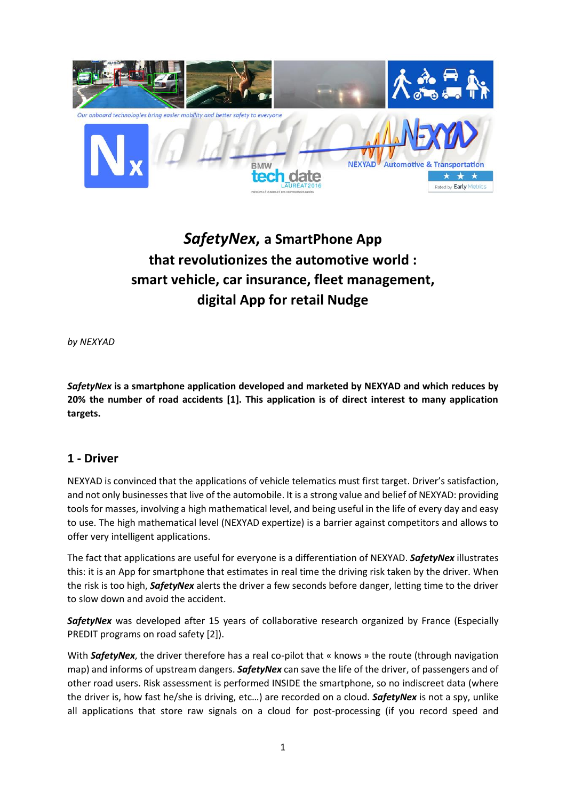

# *SafetyNex***, a SmartPhone App that revolutionizes the automotive world : smart vehicle, car insurance, fleet management, digital App for retail Nudge**

*by NEXYAD*

*SafetyNex* **is a smartphone application developed and marketed by NEXYAD and which reduces by 20% the number of road accidents [1]. This application is of direct interest to many application targets.**

#### **1 - Driver**

NEXYAD is convinced that the applications of vehicle telematics must first target. Driver's satisfaction, and not only businesses that live of the automobile. It is a strong value and belief of NEXYAD: providing tools for masses, involving a high mathematical level, and being useful in the life of every day and easy to use. The high mathematical level (NEXYAD expertize) is a barrier against competitors and allows to offer very intelligent applications.

The fact that applications are useful for everyone is a differentiation of NEXYAD. *SafetyNex* illustrates this: it is an App for smartphone that estimates in real time the driving risk taken by the driver. When the risk is too high, *SafetyNex* alerts the driver a few seconds before danger, letting time to the driver to slow down and avoid the accident.

*SafetyNex* was developed after 15 years of collaborative research organized by France (Especially PREDIT programs on road safety [2]).

With **SafetyNex**, the driver therefore has a real co-pilot that « knows » the route (through navigation map) and informs of upstream dangers. *SafetyNex* can save the life of the driver, of passengers and of other road users. Risk assessment is performed INSIDE the smartphone, so no indiscreet data (where the driver is, how fast he/she is driving, etc…) are recorded on a cloud. *SafetyNex* is not a spy, unlike all applications that store raw signals on a cloud for post-processing (if you record speed and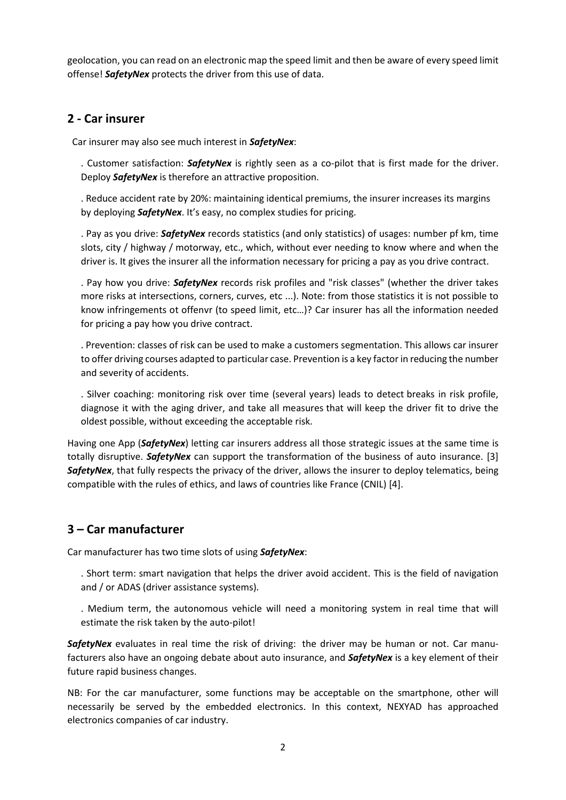geolocation, you can read on an electronic map the speed limit and then be aware of every speed limit offense! *SafetyNex* protects the driver from this use of data.

#### **2 - Car insurer**

Car insurer may also see much interest in *SafetyNex*:

. Customer satisfaction: *SafetyNex* is rightly seen as a co-pilot that is first made for the driver. Deploy *SafetyNex* is therefore an attractive proposition.

. Reduce accident rate by 20%: maintaining identical premiums, the insurer increases its margins by deploying *SafetyNex*. It's easy, no complex studies for pricing.

. Pay as you drive: *SafetyNex* records statistics (and only statistics) of usages: number pf km, time slots, city / highway / motorway, etc., which, without ever needing to know where and when the driver is. It gives the insurer all the information necessary for pricing a pay as you drive contract.

. Pay how you drive: *SafetyNex* records risk profiles and "risk classes" (whether the driver takes more risks at intersections, corners, curves, etc ...). Note: from those statistics it is not possible to know infringements ot offenvr (to speed limit, etc…)? Car insurer has all the information needed for pricing a pay how you drive contract.

. Prevention: classes of risk can be used to make a customers segmentation. This allows car insurer to offer driving courses adapted to particular case. Prevention is a key factor in reducing the number and severity of accidents.

. Silver coaching: monitoring risk over time (several years) leads to detect breaks in risk profile, diagnose it with the aging driver, and take all measures that will keep the driver fit to drive the oldest possible, without exceeding the acceptable risk.

Having one App (*SafetyNex*) letting car insurers address all those strategic issues at the same time is totally disruptive. *SafetyNex* can support the transformation of the business of auto insurance. [3] *SafetyNex*, that fully respects the privacy of the driver, allows the insurer to deploy telematics, being compatible with the rules of ethics, and laws of countries like France (CNIL) [4].

## **3 – Car manufacturer**

Car manufacturer has two time slots of using *SafetyNex*:

. Short term: smart navigation that helps the driver avoid accident. This is the field of navigation and / or ADAS (driver assistance systems).

. Medium term, the autonomous vehicle will need a monitoring system in real time that will estimate the risk taken by the auto-pilot!

**SafetyNex** evaluates in real time the risk of driving: the driver may be human or not. Car manufacturers also have an ongoing debate about auto insurance, and *SafetyNex* is a key element of their future rapid business changes.

NB: For the car manufacturer, some functions may be acceptable on the smartphone, other will necessarily be served by the embedded electronics. In this context, NEXYAD has approached electronics companies of car industry.